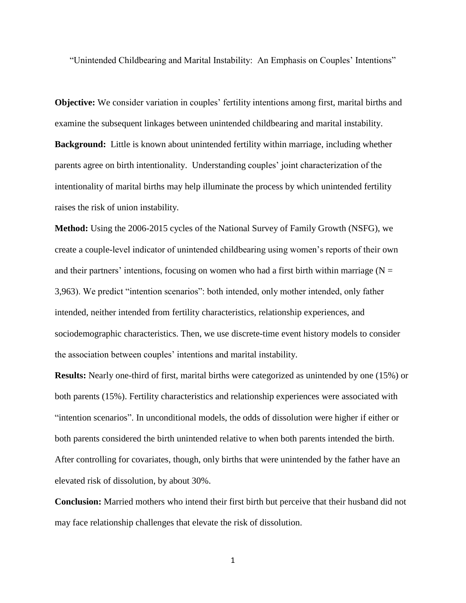"Unintended Childbearing and Marital Instability: An Emphasis on Couples' Intentions"

**Objective:** We consider variation in couples' fertility intentions among first, marital births and examine the subsequent linkages between unintended childbearing and marital instability. **Background:** Little is known about unintended fertility within marriage, including whether parents agree on birth intentionality. Understanding couples' joint characterization of the intentionality of marital births may help illuminate the process by which unintended fertility raises the risk of union instability.

**Method:** Using the 2006-2015 cycles of the National Survey of Family Growth (NSFG), we create a couple-level indicator of unintended childbearing using women's reports of their own and their partners' intentions, focusing on women who had a first birth within marriage ( $N =$ 3,963). We predict "intention scenarios": both intended, only mother intended, only father intended, neither intended from fertility characteristics, relationship experiences, and sociodemographic characteristics. Then, we use discrete-time event history models to consider the association between couples' intentions and marital instability.

**Results:** Nearly one-third of first, marital births were categorized as unintended by one (15%) or both parents (15%). Fertility characteristics and relationship experiences were associated with "intention scenarios". In unconditional models, the odds of dissolution were higher if either or both parents considered the birth unintended relative to when both parents intended the birth. After controlling for covariates, though, only births that were unintended by the father have an elevated risk of dissolution, by about 30%.

**Conclusion:** Married mothers who intend their first birth but perceive that their husband did not may face relationship challenges that elevate the risk of dissolution.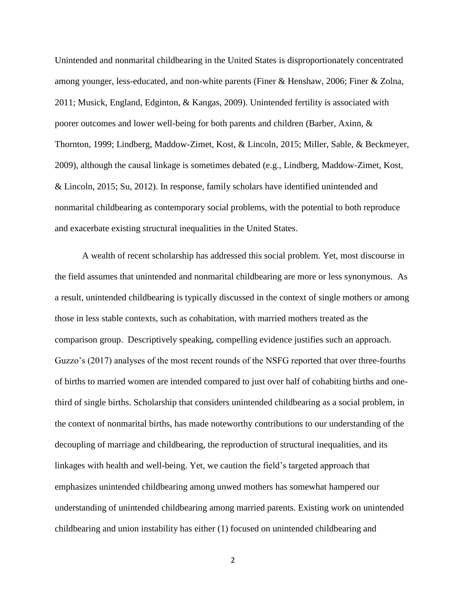Unintended and nonmarital childbearing in the United States is disproportionately concentrated among younger, less-educated, and non-white parents (Finer & Henshaw, 2006; Finer & Zolna, 2011; Musick, England, Edginton, & Kangas, 2009). Unintended fertility is associated with poorer outcomes and lower well-being for both parents and children (Barber, Axinn, & Thornton, 1999; Lindberg, Maddow-Zimet, Kost, & Lincoln, 2015; Miller, Sable, & Beckmeyer, 2009), although the causal linkage is sometimes debated (e.g., Lindberg, Maddow-Zimet, Kost, & Lincoln, 2015; Su, 2012). In response, family scholars have identified unintended and nonmarital childbearing as contemporary social problems, with the potential to both reproduce and exacerbate existing structural inequalities in the United States.

A wealth of recent scholarship has addressed this social problem. Yet, most discourse in the field assumes that unintended and nonmarital childbearing are more or less synonymous. As a result, unintended childbearing is typically discussed in the context of single mothers or among those in less stable contexts, such as cohabitation, with married mothers treated as the comparison group. Descriptively speaking, compelling evidence justifies such an approach. Guzzo's (2017) analyses of the most recent rounds of the NSFG reported that over three-fourths of births to married women are intended compared to just over half of cohabiting births and onethird of single births. Scholarship that considers unintended childbearing as a social problem, in the context of nonmarital births, has made noteworthy contributions to our understanding of the decoupling of marriage and childbearing, the reproduction of structural inequalities, and its linkages with health and well-being. Yet, we caution the field's targeted approach that emphasizes unintended childbearing among unwed mothers has somewhat hampered our understanding of unintended childbearing among married parents. Existing work on unintended childbearing and union instability has either (1) focused on unintended childbearing and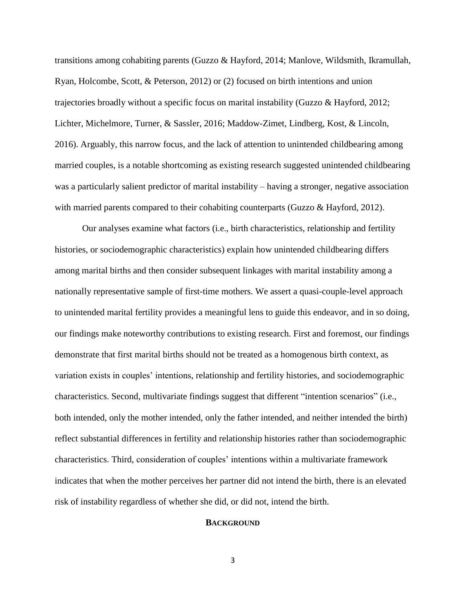transitions among cohabiting parents (Guzzo & Hayford, 2014; Manlove, Wildsmith, Ikramullah, Ryan, Holcombe, Scott, & Peterson, 2012) or (2) focused on birth intentions and union trajectories broadly without a specific focus on marital instability (Guzzo & Hayford, 2012; Lichter, Michelmore, Turner, & Sassler, 2016; Maddow-Zimet, Lindberg, Kost, & Lincoln, 2016). Arguably, this narrow focus, and the lack of attention to unintended childbearing among married couples, is a notable shortcoming as existing research suggested unintended childbearing was a particularly salient predictor of marital instability – having a stronger, negative association with married parents compared to their cohabiting counterparts (Guzzo & Hayford, 2012).

Our analyses examine what factors (i.e., birth characteristics, relationship and fertility histories, or sociodemographic characteristics) explain how unintended childbearing differs among marital births and then consider subsequent linkages with marital instability among a nationally representative sample of first-time mothers. We assert a quasi-couple-level approach to unintended marital fertility provides a meaningful lens to guide this endeavor, and in so doing, our findings make noteworthy contributions to existing research. First and foremost, our findings demonstrate that first marital births should not be treated as a homogenous birth context, as variation exists in couples' intentions, relationship and fertility histories, and sociodemographic characteristics. Second, multivariate findings suggest that different "intention scenarios" (i.e., both intended, only the mother intended, only the father intended, and neither intended the birth) reflect substantial differences in fertility and relationship histories rather than sociodemographic characteristics. Third, consideration of couples' intentions within a multivariate framework indicates that when the mother perceives her partner did not intend the birth, there is an elevated risk of instability regardless of whether she did, or did not, intend the birth.

# **BACKGROUND**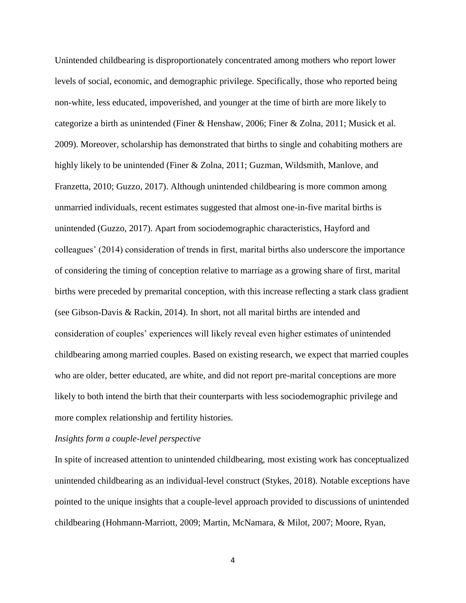Unintended childbearing is disproportionately concentrated among mothers who report lower levels of social, economic, and demographic privilege. Specifically, those who reported being non-white, less educated, impoverished, and younger at the time of birth are more likely to categorize a birth as unintended (Finer & Henshaw, 2006; Finer & Zolna, 2011; Musick et al. 2009). Moreover, scholarship has demonstrated that births to single and cohabiting mothers are highly likely to be unintended (Finer & Zolna, 2011; Guzman, Wildsmith, Manlove, and Franzetta, 2010; Guzzo, 2017). Although unintended childbearing is more common among unmarried individuals, recent estimates suggested that almost one-in-five marital births is unintended (Guzzo, 2017). Apart from sociodemographic characteristics, Hayford and colleagues' (2014) consideration of trends in first, marital births also underscore the importance of considering the timing of conception relative to marriage as a growing share of first, marital births were preceded by premarital conception, with this increase reflecting a stark class gradient (see Gibson-Davis & Rackin, 2014). In short, not all marital births are intended and consideration of couples' experiences will likely reveal even higher estimates of unintended childbearing among married couples. Based on existing research, we expect that married couples who are older, better educated, are white, and did not report pre-marital conceptions are more likely to both intend the birth that their counterparts with less sociodemographic privilege and more complex relationship and fertility histories.

### *Insights form a couple-level perspective*

In spite of increased attention to unintended childbearing, most existing work has conceptualized unintended childbearing as an individual-level construct (Stykes, 2018). Notable exceptions have pointed to the unique insights that a couple-level approach provided to discussions of unintended childbearing (Hohmann-Marriott, 2009; Martin, McNamara, & Milot, 2007; Moore, Ryan,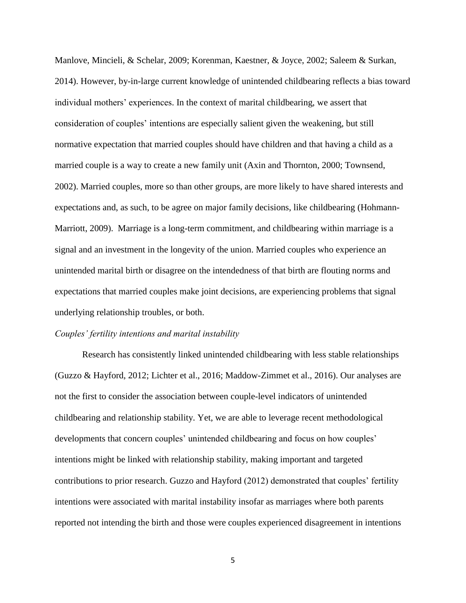Manlove, Mincieli, & Schelar, 2009; Korenman, Kaestner, & Joyce, 2002; Saleem & Surkan, 2014). However, by-in-large current knowledge of unintended childbearing reflects a bias toward individual mothers' experiences. In the context of marital childbearing, we assert that consideration of couples' intentions are especially salient given the weakening, but still normative expectation that married couples should have children and that having a child as a married couple is a way to create a new family unit (Axin and Thornton, 2000; Townsend, 2002). Married couples, more so than other groups, are more likely to have shared interests and expectations and, as such, to be agree on major family decisions, like childbearing (Hohmann-Marriott, 2009). Marriage is a long-term commitment, and childbearing within marriage is a signal and an investment in the longevity of the union. Married couples who experience an unintended marital birth or disagree on the intendedness of that birth are flouting norms and expectations that married couples make joint decisions, are experiencing problems that signal underlying relationship troubles, or both.

### *Couples' fertility intentions and marital instability*

Research has consistently linked unintended childbearing with less stable relationships (Guzzo & Hayford, 2012; Lichter et al., 2016; Maddow-Zimmet et al., 2016). Our analyses are not the first to consider the association between couple-level indicators of unintended childbearing and relationship stability. Yet, we are able to leverage recent methodological developments that concern couples' unintended childbearing and focus on how couples' intentions might be linked with relationship stability, making important and targeted contributions to prior research. Guzzo and Hayford (2012) demonstrated that couples' fertility intentions were associated with marital instability insofar as marriages where both parents reported not intending the birth and those were couples experienced disagreement in intentions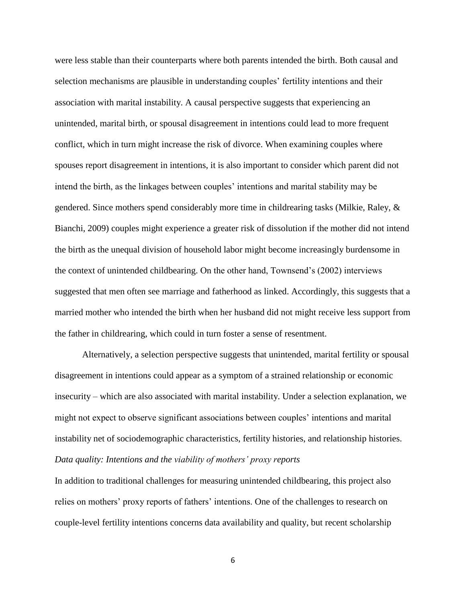were less stable than their counterparts where both parents intended the birth. Both causal and selection mechanisms are plausible in understanding couples' fertility intentions and their association with marital instability. A causal perspective suggests that experiencing an unintended, marital birth, or spousal disagreement in intentions could lead to more frequent conflict, which in turn might increase the risk of divorce. When examining couples where spouses report disagreement in intentions, it is also important to consider which parent did not intend the birth, as the linkages between couples' intentions and marital stability may be gendered. Since mothers spend considerably more time in childrearing tasks (Milkie, Raley, & Bianchi, 2009) couples might experience a greater risk of dissolution if the mother did not intend the birth as the unequal division of household labor might become increasingly burdensome in the context of unintended childbearing. On the other hand, Townsend's (2002) interviews suggested that men often see marriage and fatherhood as linked. Accordingly, this suggests that a married mother who intended the birth when her husband did not might receive less support from the father in childrearing, which could in turn foster a sense of resentment.

Alternatively, a selection perspective suggests that unintended, marital fertility or spousal disagreement in intentions could appear as a symptom of a strained relationship or economic insecurity – which are also associated with marital instability. Under a selection explanation, we might not expect to observe significant associations between couples' intentions and marital instability net of sociodemographic characteristics, fertility histories, and relationship histories. *Data quality: Intentions and the viability of mothers' proxy reports* 

In addition to traditional challenges for measuring unintended childbearing, this project also relies on mothers' proxy reports of fathers' intentions. One of the challenges to research on couple-level fertility intentions concerns data availability and quality, but recent scholarship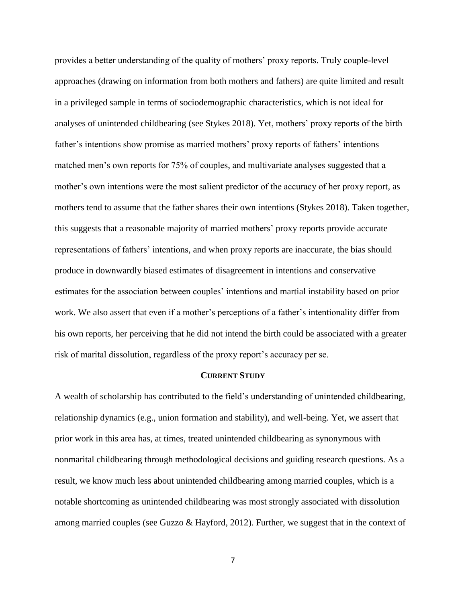provides a better understanding of the quality of mothers' proxy reports. Truly couple-level approaches (drawing on information from both mothers and fathers) are quite limited and result in a privileged sample in terms of sociodemographic characteristics, which is not ideal for analyses of unintended childbearing (see Stykes 2018). Yet, mothers' proxy reports of the birth father's intentions show promise as married mothers' proxy reports of fathers' intentions matched men's own reports for 75% of couples, and multivariate analyses suggested that a mother's own intentions were the most salient predictor of the accuracy of her proxy report, as mothers tend to assume that the father shares their own intentions (Stykes 2018). Taken together, this suggests that a reasonable majority of married mothers' proxy reports provide accurate representations of fathers' intentions, and when proxy reports are inaccurate, the bias should produce in downwardly biased estimates of disagreement in intentions and conservative estimates for the association between couples' intentions and martial instability based on prior work. We also assert that even if a mother's perceptions of a father's intentionality differ from his own reports, her perceiving that he did not intend the birth could be associated with a greater risk of marital dissolution, regardless of the proxy report's accuracy per se.

### **CURRENT STUDY**

A wealth of scholarship has contributed to the field's understanding of unintended childbearing, relationship dynamics (e.g., union formation and stability), and well-being. Yet, we assert that prior work in this area has, at times, treated unintended childbearing as synonymous with nonmarital childbearing through methodological decisions and guiding research questions. As a result, we know much less about unintended childbearing among married couples, which is a notable shortcoming as unintended childbearing was most strongly associated with dissolution among married couples (see Guzzo & Hayford, 2012). Further, we suggest that in the context of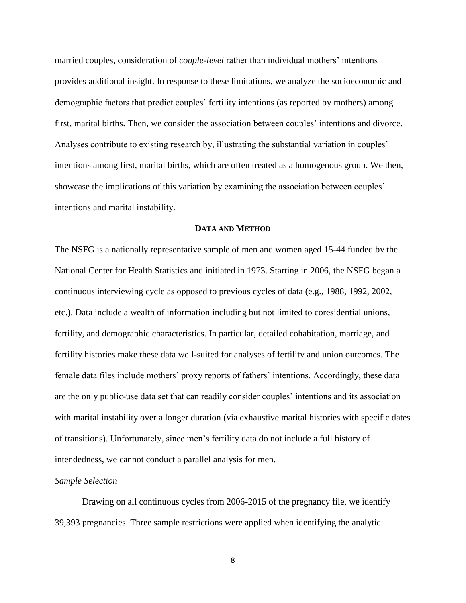married couples, consideration of *couple-level* rather than individual mothers' intentions provides additional insight. In response to these limitations, we analyze the socioeconomic and demographic factors that predict couples' fertility intentions (as reported by mothers) among first, marital births. Then, we consider the association between couples' intentions and divorce. Analyses contribute to existing research by, illustrating the substantial variation in couples' intentions among first, marital births, which are often treated as a homogenous group. We then, showcase the implications of this variation by examining the association between couples' intentions and marital instability.

### **DATA AND METHOD**

The NSFG is a nationally representative sample of men and women aged 15-44 funded by the National Center for Health Statistics and initiated in 1973. Starting in 2006, the NSFG began a continuous interviewing cycle as opposed to previous cycles of data (e.g., 1988, 1992, 2002, etc.). Data include a wealth of information including but not limited to coresidential unions, fertility, and demographic characteristics. In particular, detailed cohabitation, marriage, and fertility histories make these data well-suited for analyses of fertility and union outcomes. The female data files include mothers' proxy reports of fathers' intentions. Accordingly, these data are the only public-use data set that can readily consider couples' intentions and its association with marital instability over a longer duration (via exhaustive marital histories with specific dates of transitions). Unfortunately, since men's fertility data do not include a full history of intendedness, we cannot conduct a parallel analysis for men.

# *Sample Selection*

Drawing on all continuous cycles from 2006-2015 of the pregnancy file, we identify 39,393 pregnancies. Three sample restrictions were applied when identifying the analytic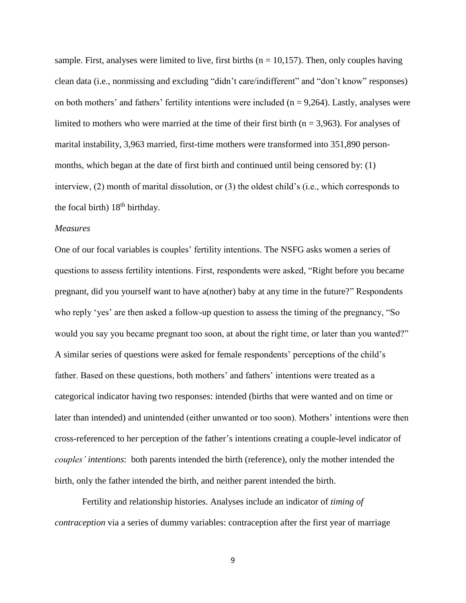sample. First, analyses were limited to live, first births ( $n = 10,157$ ). Then, only couples having clean data (i.e., nonmissing and excluding "didn't care/indifferent" and "don't know" responses) on both mothers' and fathers' fertility intentions were included  $(n = 9,264)$ . Lastly, analyses were limited to mothers who were married at the time of their first birth ( $n = 3,963$ ). For analyses of marital instability, 3,963 married, first-time mothers were transformed into 351,890 personmonths, which began at the date of first birth and continued until being censored by: (1) interview, (2) month of marital dissolution, or (3) the oldest child's (i.e., which corresponds to the focal birth)  $18<sup>th</sup>$  birthday.

# *Measures*

One of our focal variables is couples' fertility intentions. The NSFG asks women a series of questions to assess fertility intentions. First, respondents were asked, "Right before you became pregnant, did you yourself want to have a(nother) baby at any time in the future?" Respondents who reply 'yes' are then asked a follow-up question to assess the timing of the pregnancy, "So would you say you became pregnant too soon, at about the right time, or later than you wanted?" A similar series of questions were asked for female respondents' perceptions of the child's father. Based on these questions, both mothers' and fathers' intentions were treated as a categorical indicator having two responses: intended (births that were wanted and on time or later than intended) and unintended (either unwanted or too soon). Mothers' intentions were then cross-referenced to her perception of the father's intentions creating a couple-level indicator of *couples' intentions*: both parents intended the birth (reference), only the mother intended the birth, only the father intended the birth, and neither parent intended the birth.

Fertility and relationship histories. Analyses include an indicator of *timing of contraception* via a series of dummy variables: contraception after the first year of marriage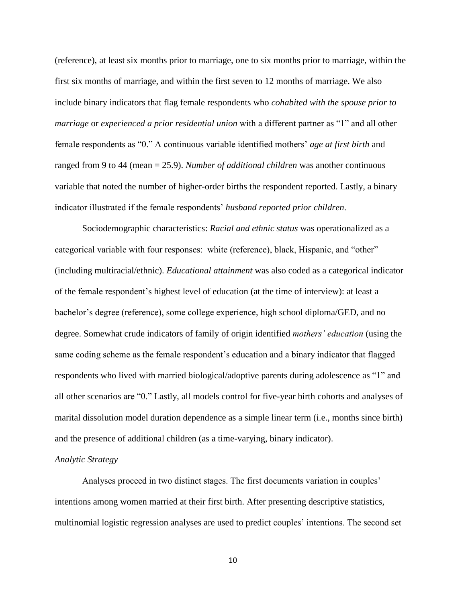(reference), at least six months prior to marriage, one to six months prior to marriage, within the first six months of marriage, and within the first seven to 12 months of marriage. We also include binary indicators that flag female respondents who *cohabited with the spouse prior to marriage* or *experienced a prior residential union* with a different partner as "1" and all other female respondents as "0." A continuous variable identified mothers' *age at first birth* and ranged from 9 to 44 (mean = 25.9). *Number of additional children* was another continuous variable that noted the number of higher-order births the respondent reported. Lastly, a binary indicator illustrated if the female respondents' *husband reported prior children*.

Sociodemographic characteristics: *Racial and ethnic status* was operationalized as a categorical variable with four responses: white (reference), black, Hispanic, and "other" (including multiracial/ethnic). *Educational attainment* was also coded as a categorical indicator of the female respondent's highest level of education (at the time of interview): at least a bachelor's degree (reference), some college experience, high school diploma/GED, and no degree. Somewhat crude indicators of family of origin identified *mothers' education* (using the same coding scheme as the female respondent's education and a binary indicator that flagged respondents who lived with married biological/adoptive parents during adolescence as "1" and all other scenarios are "0." Lastly, all models control for five-year birth cohorts and analyses of marital dissolution model duration dependence as a simple linear term (i.e., months since birth) and the presence of additional children (as a time-varying, binary indicator).

### *Analytic Strategy*

Analyses proceed in two distinct stages. The first documents variation in couples' intentions among women married at their first birth. After presenting descriptive statistics, multinomial logistic regression analyses are used to predict couples' intentions. The second set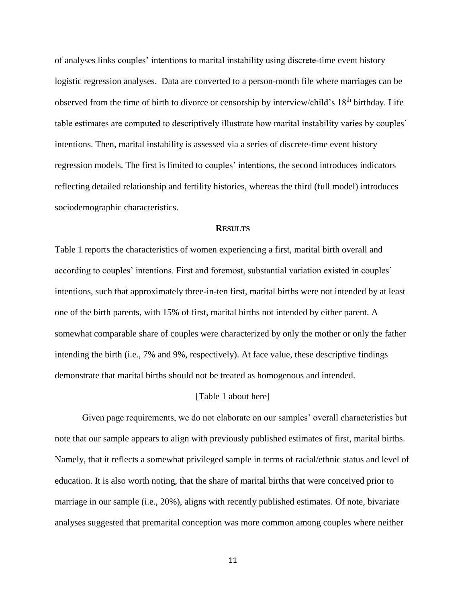of analyses links couples' intentions to marital instability using discrete-time event history logistic regression analyses. Data are converted to a person-month file where marriages can be observed from the time of birth to divorce or censorship by interview/child's 18th birthday. Life table estimates are computed to descriptively illustrate how marital instability varies by couples' intentions. Then, marital instability is assessed via a series of discrete-time event history regression models. The first is limited to couples' intentions, the second introduces indicators reflecting detailed relationship and fertility histories, whereas the third (full model) introduces sociodemographic characteristics.

#### **RESULTS**

Table 1 reports the characteristics of women experiencing a first, marital birth overall and according to couples' intentions. First and foremost, substantial variation existed in couples' intentions, such that approximately three-in-ten first, marital births were not intended by at least one of the birth parents, with 15% of first, marital births not intended by either parent. A somewhat comparable share of couples were characterized by only the mother or only the father intending the birth (i.e., 7% and 9%, respectively). At face value, these descriptive findings demonstrate that marital births should not be treated as homogenous and intended.

### [Table 1 about here]

Given page requirements, we do not elaborate on our samples' overall characteristics but note that our sample appears to align with previously published estimates of first, marital births. Namely, that it reflects a somewhat privileged sample in terms of racial/ethnic status and level of education. It is also worth noting, that the share of marital births that were conceived prior to marriage in our sample (i.e., 20%), aligns with recently published estimates. Of note, bivariate analyses suggested that premarital conception was more common among couples where neither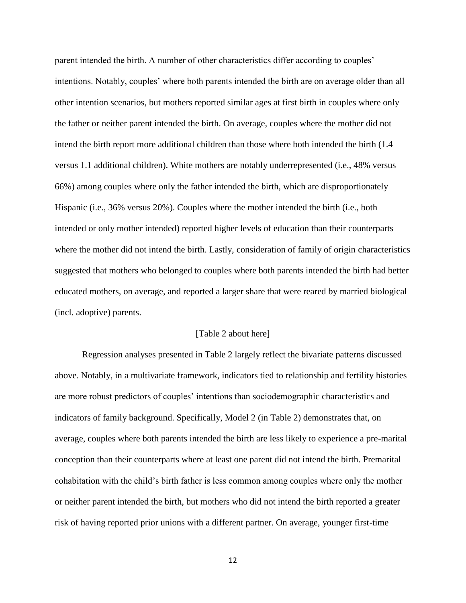parent intended the birth. A number of other characteristics differ according to couples' intentions. Notably, couples' where both parents intended the birth are on average older than all other intention scenarios, but mothers reported similar ages at first birth in couples where only the father or neither parent intended the birth. On average, couples where the mother did not intend the birth report more additional children than those where both intended the birth (1.4 versus 1.1 additional children). White mothers are notably underrepresented (i.e., 48% versus 66%) among couples where only the father intended the birth, which are disproportionately Hispanic (i.e., 36% versus 20%). Couples where the mother intended the birth (i.e., both intended or only mother intended) reported higher levels of education than their counterparts where the mother did not intend the birth. Lastly, consideration of family of origin characteristics suggested that mothers who belonged to couples where both parents intended the birth had better educated mothers, on average, and reported a larger share that were reared by married biological (incl. adoptive) parents.

# [Table 2 about here]

Regression analyses presented in Table 2 largely reflect the bivariate patterns discussed above. Notably, in a multivariate framework, indicators tied to relationship and fertility histories are more robust predictors of couples' intentions than sociodemographic characteristics and indicators of family background. Specifically, Model 2 (in Table 2) demonstrates that, on average, couples where both parents intended the birth are less likely to experience a pre-marital conception than their counterparts where at least one parent did not intend the birth. Premarital cohabitation with the child's birth father is less common among couples where only the mother or neither parent intended the birth, but mothers who did not intend the birth reported a greater risk of having reported prior unions with a different partner. On average, younger first-time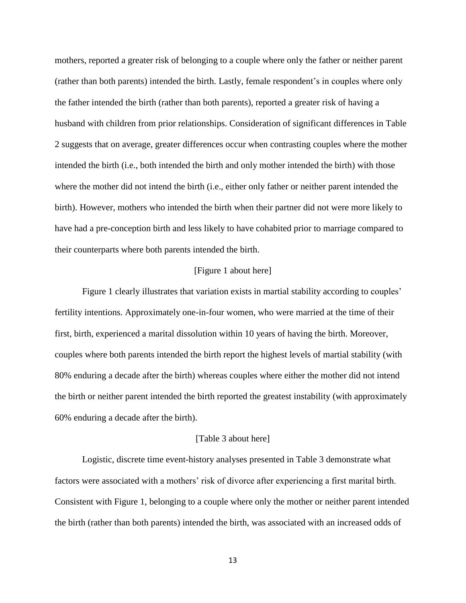mothers, reported a greater risk of belonging to a couple where only the father or neither parent (rather than both parents) intended the birth. Lastly, female respondent's in couples where only the father intended the birth (rather than both parents), reported a greater risk of having a husband with children from prior relationships. Consideration of significant differences in Table 2 suggests that on average, greater differences occur when contrasting couples where the mother intended the birth (i.e., both intended the birth and only mother intended the birth) with those where the mother did not intend the birth (i.e., either only father or neither parent intended the birth). However, mothers who intended the birth when their partner did not were more likely to have had a pre-conception birth and less likely to have cohabited prior to marriage compared to their counterparts where both parents intended the birth.

# [Figure 1 about here]

Figure 1 clearly illustrates that variation exists in martial stability according to couples' fertility intentions. Approximately one-in-four women, who were married at the time of their first, birth, experienced a marital dissolution within 10 years of having the birth. Moreover, couples where both parents intended the birth report the highest levels of martial stability (with 80% enduring a decade after the birth) whereas couples where either the mother did not intend the birth or neither parent intended the birth reported the greatest instability (with approximately 60% enduring a decade after the birth).

# [Table 3 about here]

Logistic, discrete time event-history analyses presented in Table 3 demonstrate what factors were associated with a mothers' risk of divorce after experiencing a first marital birth. Consistent with Figure 1, belonging to a couple where only the mother or neither parent intended the birth (rather than both parents) intended the birth, was associated with an increased odds of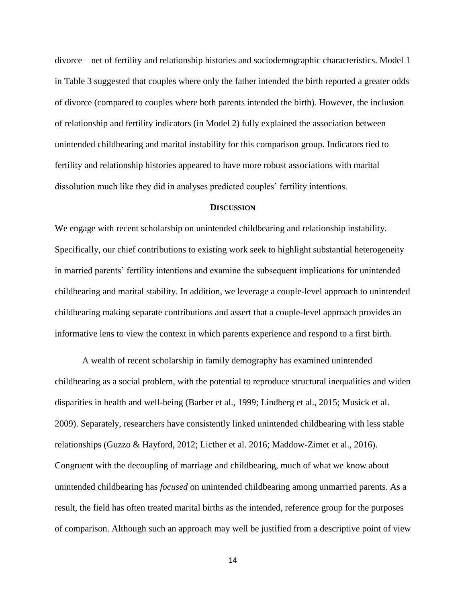divorce – net of fertility and relationship histories and sociodemographic characteristics. Model 1 in Table 3 suggested that couples where only the father intended the birth reported a greater odds of divorce (compared to couples where both parents intended the birth). However, the inclusion of relationship and fertility indicators (in Model 2) fully explained the association between unintended childbearing and marital instability for this comparison group. Indicators tied to fertility and relationship histories appeared to have more robust associations with marital dissolution much like they did in analyses predicted couples' fertility intentions.

# **DISCUSSION**

We engage with recent scholarship on unintended childbearing and relationship instability. Specifically, our chief contributions to existing work seek to highlight substantial heterogeneity in married parents' fertility intentions and examine the subsequent implications for unintended childbearing and marital stability. In addition, we leverage a couple-level approach to unintended childbearing making separate contributions and assert that a couple-level approach provides an informative lens to view the context in which parents experience and respond to a first birth.

A wealth of recent scholarship in family demography has examined unintended childbearing as a social problem, with the potential to reproduce structural inequalities and widen disparities in health and well-being (Barber et al., 1999; Lindberg et al., 2015; Musick et al. 2009). Separately, researchers have consistently linked unintended childbearing with less stable relationships (Guzzo & Hayford, 2012; Licther et al. 2016; Maddow-Zimet et al., 2016). Congruent with the decoupling of marriage and childbearing, much of what we know about unintended childbearing has *focused* on unintended childbearing among unmarried parents. As a result, the field has often treated marital births as the intended, reference group for the purposes of comparison. Although such an approach may well be justified from a descriptive point of view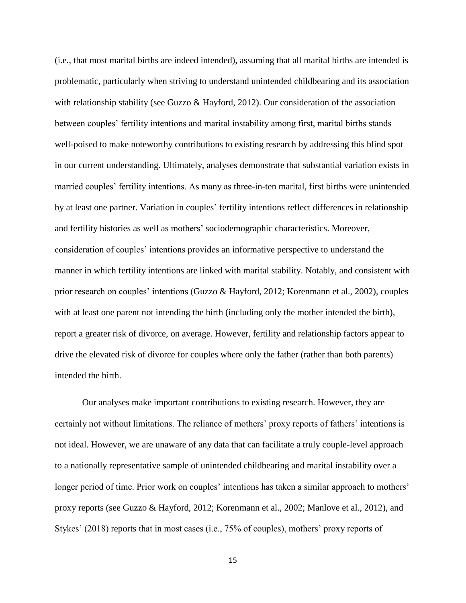(i.e., that most marital births are indeed intended), assuming that all marital births are intended is problematic, particularly when striving to understand unintended childbearing and its association with relationship stability (see Guzzo & Hayford, 2012). Our consideration of the association between couples' fertility intentions and marital instability among first, marital births stands well-poised to make noteworthy contributions to existing research by addressing this blind spot in our current understanding. Ultimately, analyses demonstrate that substantial variation exists in married couples' fertility intentions. As many as three-in-ten marital, first births were unintended by at least one partner. Variation in couples' fertility intentions reflect differences in relationship and fertility histories as well as mothers' sociodemographic characteristics. Moreover, consideration of couples' intentions provides an informative perspective to understand the manner in which fertility intentions are linked with marital stability. Notably, and consistent with prior research on couples' intentions (Guzzo & Hayford, 2012; Korenmann et al., 2002), couples with at least one parent not intending the birth (including only the mother intended the birth), report a greater risk of divorce, on average. However, fertility and relationship factors appear to drive the elevated risk of divorce for couples where only the father (rather than both parents) intended the birth.

Our analyses make important contributions to existing research. However, they are certainly not without limitations. The reliance of mothers' proxy reports of fathers' intentions is not ideal. However, we are unaware of any data that can facilitate a truly couple-level approach to a nationally representative sample of unintended childbearing and marital instability over a longer period of time. Prior work on couples' intentions has taken a similar approach to mothers' proxy reports (see Guzzo & Hayford, 2012; Korenmann et al., 2002; Manlove et al., 2012), and Stykes' (2018) reports that in most cases (i.e., 75% of couples), mothers' proxy reports of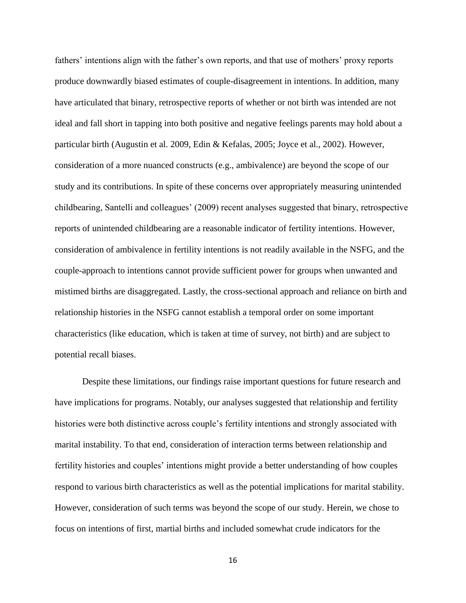fathers' intentions align with the father's own reports, and that use of mothers' proxy reports produce downwardly biased estimates of couple-disagreement in intentions. In addition, many have articulated that binary, retrospective reports of whether or not birth was intended are not ideal and fall short in tapping into both positive and negative feelings parents may hold about a particular birth (Augustin et al. 2009, Edin & Kefalas, 2005; Joyce et al., 2002). However, consideration of a more nuanced constructs (e.g., ambivalence) are beyond the scope of our study and its contributions. In spite of these concerns over appropriately measuring unintended childbearing, Santelli and colleagues' (2009) recent analyses suggested that binary, retrospective reports of unintended childbearing are a reasonable indicator of fertility intentions. However, consideration of ambivalence in fertility intentions is not readily available in the NSFG, and the couple-approach to intentions cannot provide sufficient power for groups when unwanted and mistimed births are disaggregated. Lastly, the cross-sectional approach and reliance on birth and relationship histories in the NSFG cannot establish a temporal order on some important characteristics (like education, which is taken at time of survey, not birth) and are subject to potential recall biases.

Despite these limitations, our findings raise important questions for future research and have implications for programs. Notably, our analyses suggested that relationship and fertility histories were both distinctive across couple's fertility intentions and strongly associated with marital instability. To that end, consideration of interaction terms between relationship and fertility histories and couples' intentions might provide a better understanding of how couples respond to various birth characteristics as well as the potential implications for marital stability. However, consideration of such terms was beyond the scope of our study. Herein, we chose to focus on intentions of first, martial births and included somewhat crude indicators for the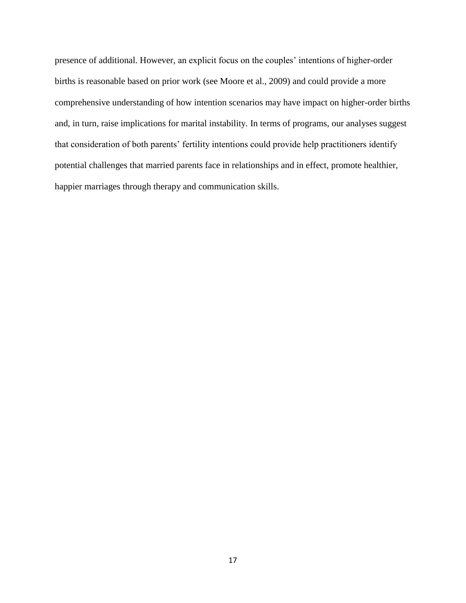presence of additional. However, an explicit focus on the couples' intentions of higher-order births is reasonable based on prior work (see Moore et al., 2009) and could provide a more comprehensive understanding of how intention scenarios may have impact on higher-order births and, in turn, raise implications for marital instability. In terms of programs, our analyses suggest that consideration of both parents' fertility intentions could provide help practitioners identify potential challenges that married parents face in relationships and in effect, promote healthier, happier marriages through therapy and communication skills.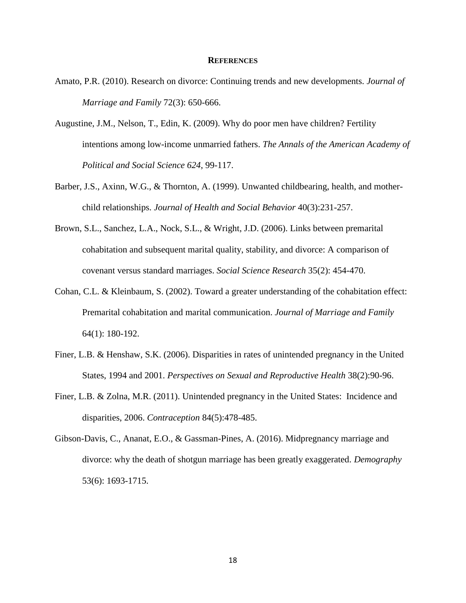# **REFERENCES**

- Amato, P.R. (2010). Research on divorce: Continuing trends and new developments. *Journal of Marriage and Family* 72(3): 650-666.
- Augustine, J.M., Nelson, T., Edin, K. (2009). Why do poor men have children? Fertility intentions among low-income unmarried fathers. *The Annals of the American Academy of Political and Social Science 624*, 99-117.
- Barber, J.S., Axinn, W.G., & Thornton, A. (1999). Unwanted childbearing, health, and motherchild relationships. *Journal of Health and Social Behavior* 40(3):231-257.
- Brown, S.L., Sanchez, L.A., Nock, S.L., & Wright, J.D. (2006). Links between premarital cohabitation and subsequent marital quality, stability, and divorce: A comparison of covenant versus standard marriages. *Social Science Research* 35(2): 454-470.
- Cohan, C.L. & Kleinbaum, S. (2002). Toward a greater understanding of the cohabitation effect: Premarital cohabitation and marital communication. *Journal of Marriage and Family*  64(1): 180-192.
- Finer, L.B. & Henshaw, S.K. (2006). Disparities in rates of unintended pregnancy in the United States, 1994 and 2001. *Perspectives on Sexual and Reproductive Health* 38(2):90-96.
- Finer, L.B. & Zolna, M.R. (2011). Unintended pregnancy in the United States: Incidence and disparities, 2006. *Contraception* 84(5):478-485.
- Gibson-Davis, C., Ananat, E.O., & Gassman-Pines, A. (2016). Midpregnancy marriage and divorce: why the death of shotgun marriage has been greatly exaggerated. *Demography*  53(6): 1693-1715.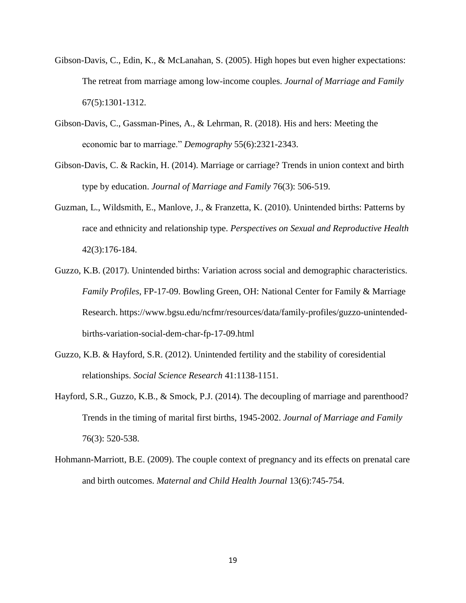- Gibson-Davis, C., Edin, K., & McLanahan, S. (2005). High hopes but even higher expectations: The retreat from marriage among low-income couples. *Journal of Marriage and Family*  67(5):1301-1312.
- Gibson-Davis, C., Gassman-Pines, A., & Lehrman, R. (2018). His and hers: Meeting the economic bar to marriage." *Demography* 55(6):2321-2343.
- Gibson-Davis, C. & Rackin, H. (2014). Marriage or carriage? Trends in union context and birth type by education. *Journal of Marriage and Family* 76(3): 506-519.
- Guzman, L., Wildsmith, E., Manlove, J., & Franzetta, K. (2010). Unintended births: Patterns by race and ethnicity and relationship type. *Perspectives on Sexual and Reproductive Health*  42(3):176-184.
- Guzzo, K.B. (2017). Unintended births: Variation across social and demographic characteristics. *Family Profiles*, FP-17-09. Bowling Green, OH: National Center for Family & Marriage Research. https://www.bgsu.edu/ncfmr/resources/data/family-profiles/guzzo-unintendedbirths-variation-social-dem-char-fp-17-09.html
- Guzzo, K.B. & Hayford, S.R. (2012). Unintended fertility and the stability of coresidential relationships. *Social Science Research* 41:1138-1151.
- Hayford, S.R., Guzzo, K.B., & Smock, P.J. (2014). The decoupling of marriage and parenthood? Trends in the timing of marital first births, 1945-2002. *Journal of Marriage and Family*  76(3): 520-538.
- Hohmann-Marriott, B.E. (2009). The couple context of pregnancy and its effects on prenatal care and birth outcomes. *Maternal and Child Health Journal* 13(6):745-754.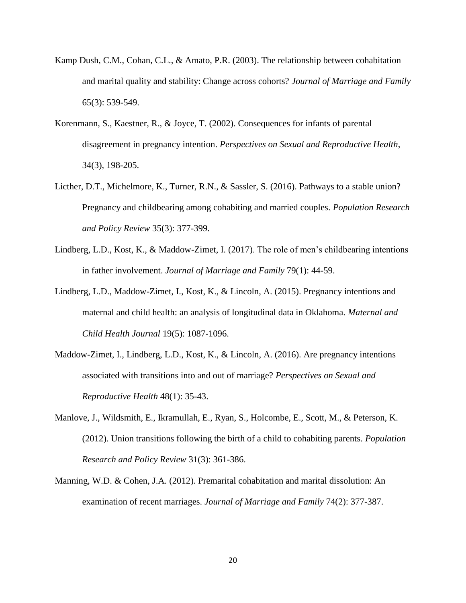- Kamp Dush, C.M., Cohan, C.L., & Amato, P.R. (2003). The relationship between cohabitation and marital quality and stability: Change across cohorts? *Journal of Marriage and Family*  65(3): 539-549.
- Korenmann, S., Kaestner, R., & Joyce, T. (2002). Consequences for infants of parental disagreement in pregnancy intention. *Perspectives on Sexual and Reproductive Health*, 34(3), 198-205.
- Licther, D.T., Michelmore, K., Turner, R.N., & Sassler, S. (2016). Pathways to a stable union? Pregnancy and childbearing among cohabiting and married couples. *Population Research and Policy Review* 35(3): 377-399.
- Lindberg, L.D., Kost, K., & Maddow-Zimet, I. (2017). The role of men's childbearing intentions in father involvement. *Journal of Marriage and Family* 79(1): 44-59.
- Lindberg, L.D., Maddow-Zimet, I., Kost, K., & Lincoln, A. (2015). Pregnancy intentions and maternal and child health: an analysis of longitudinal data in Oklahoma. *Maternal and Child Health Journal* 19(5): 1087-1096.
- Maddow-Zimet, I., Lindberg, L.D., Kost, K., & Lincoln, A. (2016). Are pregnancy intentions associated with transitions into and out of marriage? *Perspectives on Sexual and Reproductive Health* 48(1): 35-43.
- Manlove, J., Wildsmith, E., Ikramullah, E., Ryan, S., Holcombe, E., Scott, M., & Peterson, K. (2012). Union transitions following the birth of a child to cohabiting parents. *Population Research and Policy Review* 31(3): 361-386.
- Manning, W.D. & Cohen, J.A. (2012). Premarital cohabitation and marital dissolution: An examination of recent marriages. *Journal of Marriage and Family* 74(2): 377-387.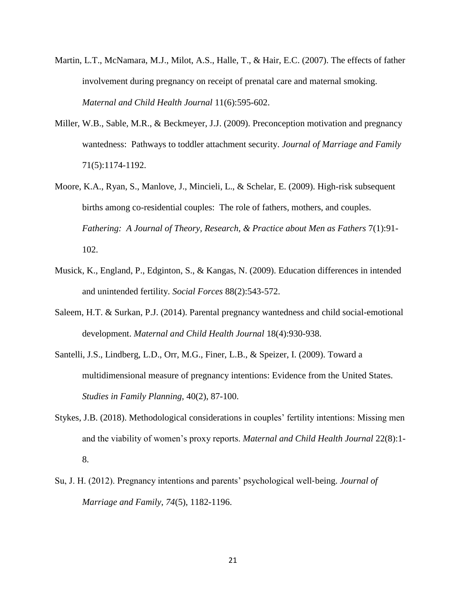- Martin, L.T., McNamara, M.J., Milot, A.S., Halle, T., & Hair, E.C. (2007). The effects of father involvement during pregnancy on receipt of prenatal care and maternal smoking. *Maternal and Child Health Journal* 11(6):595-602.
- Miller, W.B., Sable, M.R., & Beckmeyer, J.J. (2009). Preconception motivation and pregnancy wantedness: Pathways to toddler attachment security. *Journal of Marriage and Family* 71(5):1174-1192.
- Moore, K.A., Ryan, S., Manlove, J., Mincieli, L., & Schelar, E. (2009). High-risk subsequent births among co-residential couples: The role of fathers, mothers, and couples. *Fathering: A Journal of Theory, Research, & Practice about Men as Fathers* 7(1):91- 102.
- Musick, K., England, P., Edginton, S., & Kangas, N. (2009). Education differences in intended and unintended fertility. *Social Forces* 88(2):543-572.
- Saleem, H.T. & Surkan, P.J. (2014). Parental pregnancy wantedness and child social-emotional development. *Maternal and Child Health Journal* 18(4):930-938.
- Santelli, J.S., Lindberg, L.D., Orr, M.G., Finer, L.B., & Speizer, I. (2009). Toward a multidimensional measure of pregnancy intentions: Evidence from the United States. *Studies in Family Planning,* 40(2), 87-100.
- Stykes, J.B. (2018). Methodological considerations in couples' fertility intentions: Missing men and the viability of women's proxy reports. *Maternal and Child Health Journal* 22(8):1- 8.
- Su, J. H. (2012). Pregnancy intentions and parents' psychological well‐being. *Journal of Marriage and Family*, *74*(5), 1182-1196.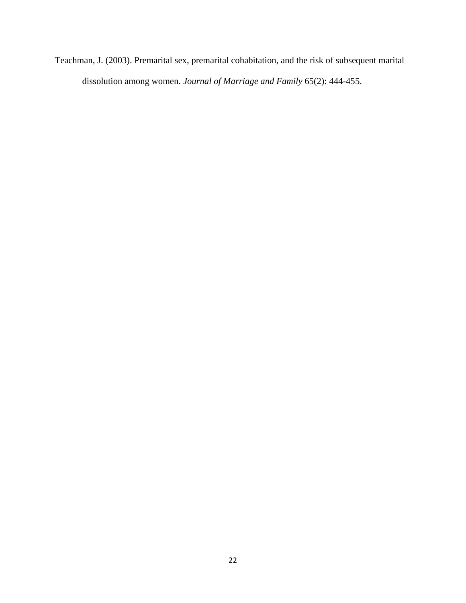Teachman, J. (2003). Premarital sex, premarital cohabitation, and the risk of subsequent marital dissolution among women. *Journal of Marriage and Family* 65(2): 444-455.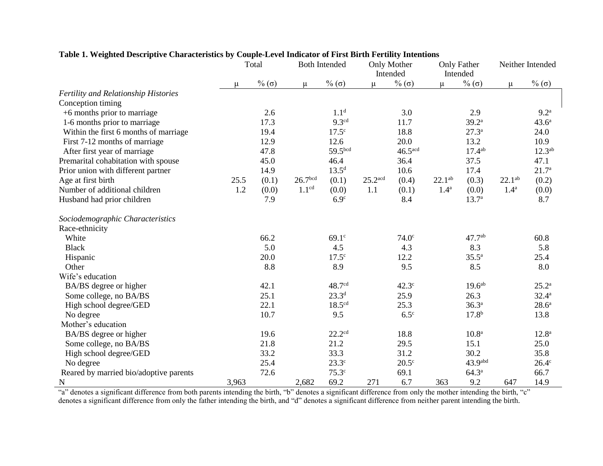|                                             | Total |                  | <b>Both Intended</b> |                    | Only Mother<br>Intended |                       | Only Father<br>Intended |                     | Neither Intended |                   |
|---------------------------------------------|-------|------------------|----------------------|--------------------|-------------------------|-----------------------|-------------------------|---------------------|------------------|-------------------|
|                                             | μ     | $%$ ( $\sigma$ ) | μ                    | $%$ ( $\sigma$ )   | $\mu$                   | $\%$ (σ)              | u                       | $\%$ ( $\sigma$ )   | $\mu$            | $\%$ ( $\sigma$ ) |
| <b>Fertility and Relationship Histories</b> |       |                  |                      |                    |                         |                       |                         |                     |                  |                   |
| Conception timing                           |       |                  |                      |                    |                         |                       |                         |                     |                  |                   |
| +6 months prior to marriage                 |       | 2.6              |                      | 1.1 <sup>d</sup>   |                         | 3.0                   |                         | 2.9                 |                  | 9.2 <sup>a</sup>  |
| 1-6 months prior to marriage                |       | 17.3             |                      | 9.3 <sup>cd</sup>  |                         | 11.7                  |                         | $39.2^{\mathrm{a}}$ |                  | $43.6^{\circ}$    |
| Within the first 6 months of marriage       |       | 19.4             |                      | $17.5^{\circ}$     |                         | 18.8                  |                         | $27.3^{a}$          |                  | 24.0              |
| First 7-12 months of marriage               |       | 12.9             |                      | 12.6               |                         | 20.0                  |                         | 13.2                |                  | 10.9              |
| After first year of marriage                |       | 47.8             |                      | 59.5bcd            |                         | $46.5$ <sup>acd</sup> |                         | $17.4^{ab}$         |                  | $12.3^{ab}$       |
| Premarital cohabitation with spouse         |       | 45.0             |                      | 46.4               |                         | 36.4                  |                         | 37.5                |                  | 47.1              |
| Prior union with different partner          |       | 14.9             |                      | $13.5^{d}$         |                         | 10.6                  |                         | 17.4                |                  | 21.7 <sup>a</sup> |
| Age at first birth                          | 25.5  | (0.1)            | 26.7 <sup>bcd</sup>  | (0.1)              | $25.2$ <sup>acd</sup>   | (0.4)                 | $22.1^{ab}$             | (0.3)               | $22.1^{ab}$      | (0.2)             |
| Number of additional children               | 1.2   | (0.0)            | 1.1 <sup>cd</sup>    | (0.0)              | 1.1                     | (0.1)                 | 1.4 <sup>a</sup>        | (0.0)               | 1.4 <sup>a</sup> | (0.0)             |
| Husband had prior children                  |       | 7.9              |                      | 6.9 <sup>c</sup>   |                         | 8.4                   |                         | 13.7 <sup>a</sup>   |                  | 8.7               |
| Sociodemographic Characteristics            |       |                  |                      |                    |                         |                       |                         |                     |                  |                   |
| Race-ethnicity                              |       |                  |                      |                    |                         |                       |                         |                     |                  |                   |
| White                                       |       | 66.2             |                      | $69.1^\circ$       |                         | 74.0 <sup>c</sup>     |                         | $47.7^{ab}$         |                  | 60.8              |
| <b>Black</b>                                |       | 5.0              |                      | 4.5                |                         | 4.3                   |                         | 8.3                 |                  | 5.8               |
| Hispanic                                    |       | 20.0             |                      | 17.5 <sup>c</sup>  |                         | 12.2                  |                         | $35.5^{\rm a}$      |                  | 25.4              |
| Other                                       |       | 8.8              |                      | 8.9                |                         | 9.5                   |                         | 8.5                 |                  | 8.0               |
| Wife's education                            |       |                  |                      |                    |                         |                       |                         |                     |                  |                   |
| BA/BS degree or higher                      |       | 42.1             |                      | 48.7cd             |                         | $42.3^\circ$          |                         | 19.6 <sup>ab</sup>  |                  | $25.2^{\rm a}$    |
| Some college, no BA/BS                      |       | 25.1             |                      | $23.3^{d}$         |                         | 25.9                  |                         | 26.3                |                  | $32.4^{\circ}$    |
| High school degree/GED                      |       | 22.1             |                      | 18.5 <sup>cd</sup> |                         | 25.3                  |                         | $36.3^{a}$          |                  | $28.6^{\circ}$    |
| No degree                                   |       | 10.7             |                      | 9.5                |                         | $6.5^\circ$           |                         | 17.8 <sup>b</sup>   |                  | 13.8              |
| Mother's education                          |       |                  |                      |                    |                         |                       |                         |                     |                  |                   |
| BA/BS degree or higher                      |       | 19.6             |                      | 22.2 <sup>cd</sup> |                         | 18.8                  |                         | 10.8 <sup>a</sup>   |                  | $12.8^{\circ}$    |
| Some college, no BA/BS                      |       | 21.8             |                      | 21.2               |                         | 29.5                  |                         | 15.1                |                  | 25.0              |
| High school degree/GED                      |       | 33.2             |                      | 33.3               |                         | 31.2                  |                         | 30.2                |                  | 35.8              |
| No degree                                   |       | 25.4             |                      | $23.3^\circ$       |                         | $20.5^{\circ}$        |                         | $43.9$ abd          |                  | $26.4^\circ$      |
| Reared by married bio/adoptive parents      |       | 72.6             |                      | $75.3^\circ$       |                         | 69.1                  |                         | $64.3^{a}$          |                  | 66.7              |
| $\mathbf N$                                 | 3,963 |                  | 2,682                | 69.2               | 271                     | 6.7                   | 363                     | 9.2                 | 647              | 14.9              |

# **Table 1. Weighted Descriptive Characteristics by Couple-Level Indicator of First Birth Fertility Intentions**

"a" denotes a significant difference from both parents intending the birth, "b" denotes a significant difference from only the mother intending the birth, "c" denotes a significant difference from only the father intending the birth, and "d" denotes a significant difference from neither parent intending the birth.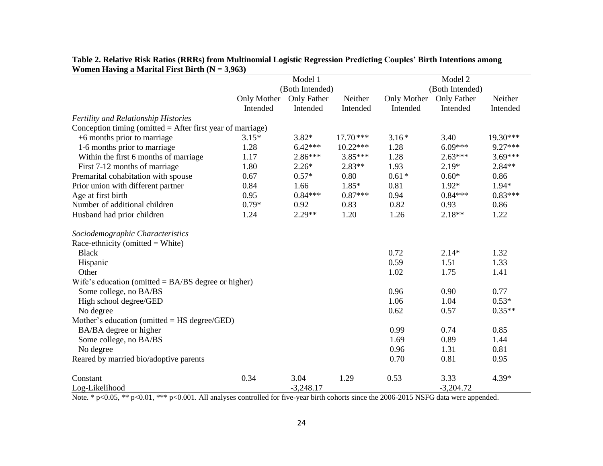|                                                              |             | Model 1         |            |                 | Model 2     |           |  |
|--------------------------------------------------------------|-------------|-----------------|------------|-----------------|-------------|-----------|--|
|                                                              |             | (Both Intended) |            | (Both Intended) |             |           |  |
|                                                              | Only Mother | Only Father     | Neither    | Only Mother     | Only Father | Neither   |  |
|                                                              | Intended    | Intended        | Intended   | Intended        | Intended    | Intended  |  |
| Fertility and Relationship Histories                         |             |                 |            |                 |             |           |  |
| Conception timing (omitted $=$ After first year of marriage) |             |                 |            |                 |             |           |  |
| $+6$ months prior to marriage                                | $3.15*$     | $3.82*$         | $17.70***$ | $3.16*$         | 3.40        | 19.30***  |  |
| 1-6 months prior to marriage                                 | 1.28        | $6.42***$       | $10.22***$ | 1.28            | $6.09***$   | 9.27***   |  |
| Within the first 6 months of marriage                        | 1.17        | $2.86***$       | $3.85***$  | 1.28            | $2.63***$   | $3.69***$ |  |
| First 7-12 months of marriage                                | 1.80        | $2.26*$         | $2.83**$   | 1.93            | $2.19*$     | $2.84**$  |  |
| Premarital cohabitation with spouse                          | 0.67        | $0.57*$         | 0.80       | $0.61*$         | $0.60*$     | 0.86      |  |
| Prior union with different partner                           | 0.84        | 1.66            | $1.85*$    | 0.81            | $1.92*$     | $1.94*$   |  |
| Age at first birth                                           | 0.95        | $0.84***$       | $0.87***$  | 0.94            | $0.84***$   | $0.83***$ |  |
| Number of additional children                                | $0.79*$     | 0.92            | 0.83       | 0.82            | 0.93        | 0.86      |  |
| Husband had prior children                                   | 1.24        | 2.29**          | 1.20       | 1.26            | $2.18**$    | 1.22      |  |
| Sociodemographic Characteristics                             |             |                 |            |                 |             |           |  |
|                                                              |             |                 |            |                 |             |           |  |
| Race-ethnicity (omitted = White)<br><b>Black</b>             |             |                 |            | 0.72            | $2.14*$     | 1.32      |  |
|                                                              |             |                 |            | 0.59            | 1.51        | 1.33      |  |
| Hispanic                                                     |             |                 |            |                 |             |           |  |
| Other                                                        |             |                 |            | 1.02            | 1.75        | 1.41      |  |
| Wife's education (omitted $= BA/BS$ degree or higher)        |             |                 |            |                 |             |           |  |
| Some college, no BA/BS                                       |             |                 |            | 0.96            | 0.90        | 0.77      |  |
| High school degree/GED                                       |             |                 |            | 1.06            | 1.04        | $0.53*$   |  |
| No degree                                                    |             |                 |            | 0.62            | 0.57        | $0.35**$  |  |
| Mother's education (omitted $=$ HS degree/GED)               |             |                 |            |                 |             |           |  |
| BA/BA degree or higher                                       |             |                 |            | 0.99            | 0.74        | 0.85      |  |
| Some college, no BA/BS                                       |             |                 |            | 1.69            | 0.89        | 1.44      |  |
| No degree                                                    |             |                 |            | 0.96            | 1.31        | 0.81      |  |
| Reared by married bio/adoptive parents                       |             |                 |            | 0.70            | 0.81        | 0.95      |  |
| Constant                                                     | 0.34        | 3.04            | 1.29       | 0.53            | 3.33        | 4.39*     |  |
| Log-Likelihood                                               |             | $-3,248.17$     |            |                 | $-3,204.72$ |           |  |

**Table 2. Relative Risk Ratios (RRRs) from Multinomial Logistic Regression Predicting Couples' Birth Intentions among Women Having a Marital First Birth (N = 3,963)**

Note. \* p<0.05, \*\* p<0.01, \*\*\* p<0.001. All analyses controlled for five-year birth cohorts since the 2006-2015 NSFG data were appended.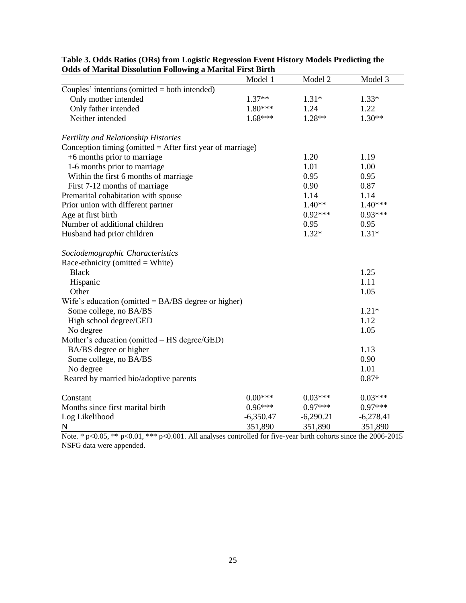|                                                              | Model 1     | Model 2     | Model 3       |
|--------------------------------------------------------------|-------------|-------------|---------------|
| Couples' intentions (omitted $=$ both intended)              |             |             |               |
| Only mother intended                                         | $1.37**$    | $1.31*$     | $1.33*$       |
| Only father intended                                         | 1.80***     | 1.24        | 1.22          |
| Neither intended                                             | $1.68***$   | $1.28**$    | $1.30**$      |
| <b>Fertility and Relationship Histories</b>                  |             |             |               |
| Conception timing (omitted $=$ After first year of marriage) |             |             |               |
| +6 months prior to marriage                                  |             | 1.20        | 1.19          |
| 1-6 months prior to marriage                                 |             | 1.01        | 1.00          |
| Within the first 6 months of marriage                        |             | 0.95        | 0.95          |
| First 7-12 months of marriage                                |             | 0.90        | 0.87          |
| Premarital cohabitation with spouse                          |             | 1.14        | 1.14          |
| Prior union with different partner                           |             | $1.40**$    | $1.40***$     |
| Age at first birth                                           |             | $0.92***$   | $0.93***$     |
| Number of additional children                                |             | 0.95        | 0.95          |
| Husband had prior children                                   |             | $1.32*$     | $1.31*$       |
| Sociodemographic Characteristics                             |             |             |               |
| Race-ethnicity (omitted $=$ White)                           |             |             |               |
| <b>Black</b>                                                 |             |             | 1.25          |
| Hispanic                                                     |             |             | 1.11          |
| Other                                                        |             |             | 1.05          |
| Wife's education (omitted $= BA/BS$ degree or higher)        |             |             |               |
| Some college, no BA/BS                                       |             |             | $1.21*$       |
| High school degree/GED                                       |             |             | 1.12          |
| No degree                                                    |             |             | 1.05          |
| Mother's education (omitted $=$ HS degree/GED)               |             |             |               |
| BA/BS degree or higher                                       |             |             | 1.13          |
| Some college, no BA/BS                                       |             |             | 0.90          |
| No degree                                                    |             |             | 1.01          |
| Reared by married bio/adoptive parents                       |             |             | $0.87\dagger$ |
| Constant                                                     | $0.00***$   | $0.03***$   | $0.03***$     |
| Months since first marital birth                             | $0.96***$   | $0.97***$   | $0.97***$     |
| Log Likelihood                                               | $-6,350.47$ | $-6,290.21$ | $-6,278.41$   |
| N                                                            | 351,890     | 351,890     | 351,890       |

| Table 3. Odds Ratios (ORs) from Logistic Regression Event History Models Predicting the |
|-----------------------------------------------------------------------------------------|
| <b>Odds of Marital Dissolution Following a Marital First Birth</b>                      |

Note. \* p<0.05, \*\* p<0.01, \*\*\* p<0.001. All analyses controlled for five-year birth cohorts since the 2006-2015 NSFG data were appended.